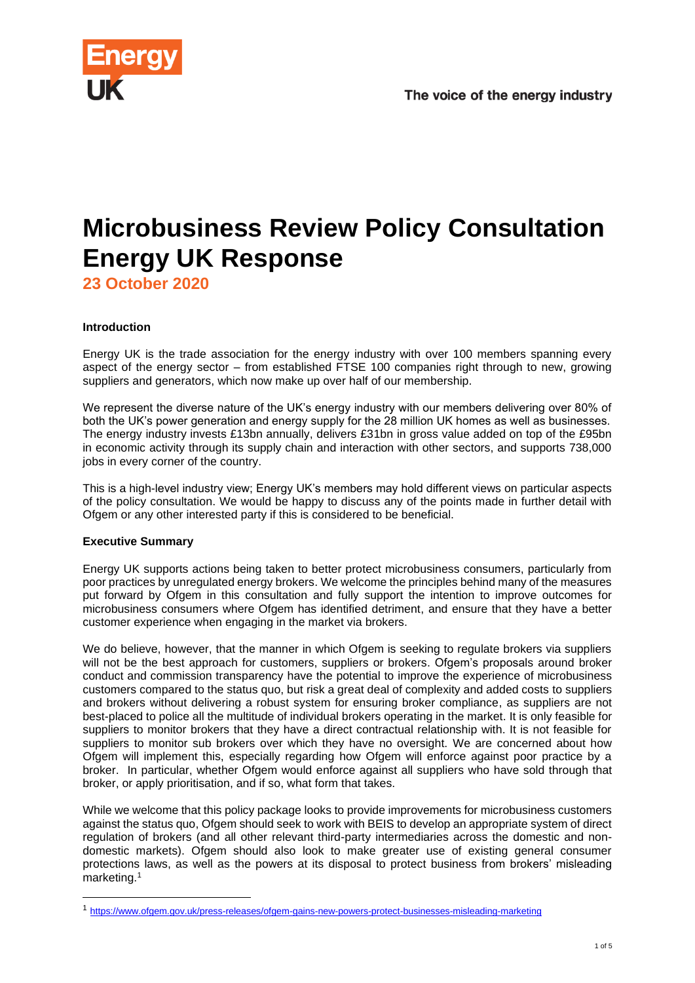

# **Microbusiness Review Policy Consultation Energy UK Response**

**23 October 2020**

# **Introduction**

Energy UK is the trade association for the energy industry with over 100 members spanning every aspect of the energy sector – from established FTSE 100 companies right through to new, growing suppliers and generators, which now make up over half of our membership.

We represent the diverse nature of the UK's energy industry with our members delivering over 80% of both the UK's power generation and energy supply for the 28 million UK homes as well as businesses. The energy industry invests £13bn annually, delivers £31bn in gross value added on top of the £95bn in economic activity through its supply chain and interaction with other sectors, and supports 738,000 jobs in every corner of the country.

This is a high-level industry view; Energy UK's members may hold different views on particular aspects of the policy consultation. We would be happy to discuss any of the points made in further detail with Ofgem or any other interested party if this is considered to be beneficial.

# **Executive Summary**

Energy UK supports actions being taken to better protect microbusiness consumers, particularly from poor practices by unregulated energy brokers. We welcome the principles behind many of the measures put forward by Ofgem in this consultation and fully support the intention to improve outcomes for microbusiness consumers where Ofgem has identified detriment, and ensure that they have a better customer experience when engaging in the market via brokers.

We do believe, however, that the manner in which Ofgem is seeking to regulate brokers via suppliers will not be the best approach for customers, suppliers or brokers. Ofgem's proposals around broker conduct and commission transparency have the potential to improve the experience of microbusiness customers compared to the status quo, but risk a great deal of complexity and added costs to suppliers and brokers without delivering a robust system for ensuring broker compliance, as suppliers are not best-placed to police all the multitude of individual brokers operating in the market. It is only feasible for suppliers to monitor brokers that they have a direct contractual relationship with. It is not feasible for suppliers to monitor sub brokers over which they have no oversight. We are concerned about how Ofgem will implement this, especially regarding how Ofgem will enforce against poor practice by a broker. In particular, whether Ofgem would enforce against all suppliers who have sold through that broker, or apply prioritisation, and if so, what form that takes.

While we welcome that this policy package looks to provide improvements for microbusiness customers against the status quo, Ofgem should seek to work with BEIS to develop an appropriate system of direct regulation of brokers (and all other relevant third-party intermediaries across the domestic and nondomestic markets). Ofgem should also look to make greater use of existing general consumer protections laws, as well as the powers at its disposal to protect business from brokers' misleading marketing.<sup>1</sup>

<sup>1</sup> <https://www.ofgem.gov.uk/press-releases/ofgem-gains-new-powers-protect-businesses-misleading-marketing>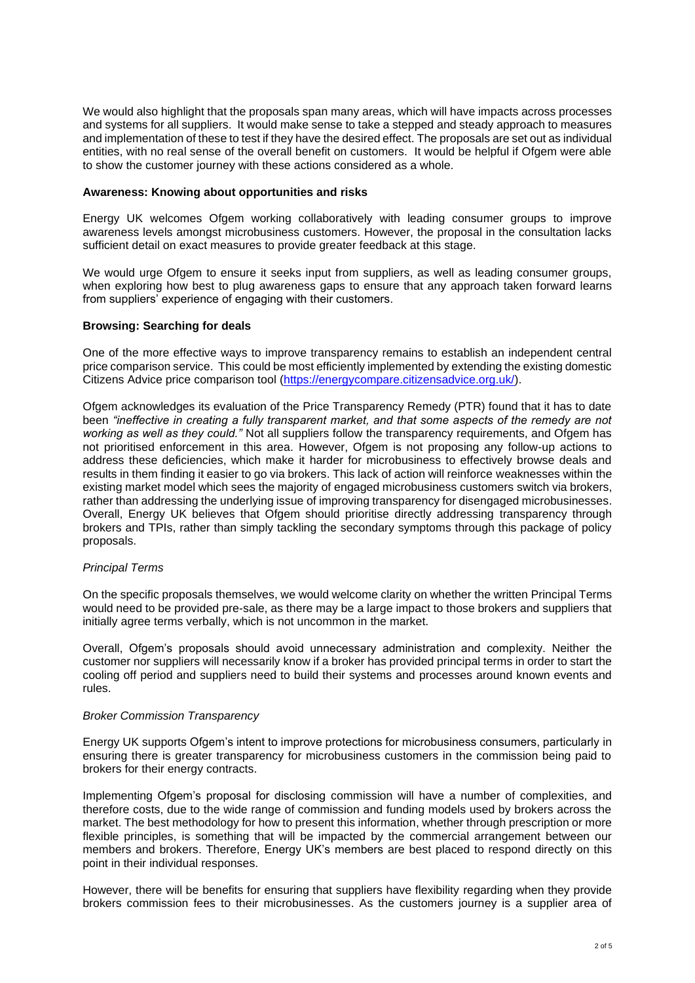We would also highlight that the proposals span many areas, which will have impacts across processes and systems for all suppliers. It would make sense to take a stepped and steady approach to measures and implementation of these to test if they have the desired effect. The proposals are set out as individual entities, with no real sense of the overall benefit on customers. It would be helpful if Ofgem were able to show the customer journey with these actions considered as a whole.

#### **Awareness: Knowing about opportunities and risks**

Energy UK welcomes Ofgem working collaboratively with leading consumer groups to improve awareness levels amongst microbusiness customers. However, the proposal in the consultation lacks sufficient detail on exact measures to provide greater feedback at this stage.

We would urge Ofgem to ensure it seeks input from suppliers, as well as leading consumer groups, when exploring how best to plug awareness gaps to ensure that any approach taken forward learns from suppliers' experience of engaging with their customers.

## **Browsing: Searching for deals**

One of the more effective ways to improve transparency remains to establish an independent central price comparison service. This could be most efficiently implemented by extending the existing domestic Citizens Advice price comparison tool [\(https://energycompare.citizensadvice.org.uk/\)](https://energycompare.citizensadvice.org.uk/).

Ofgem acknowledges its evaluation of the Price Transparency Remedy (PTR) found that it has to date been *"ineffective in creating a fully transparent market, and that some aspects of the remedy are not*  working as well as they could." Not all suppliers follow the transparency requirements, and Ofgem has not prioritised enforcement in this area. However, Ofgem is not proposing any follow-up actions to address these deficiencies, which make it harder for microbusiness to effectively browse deals and results in them finding it easier to go via brokers. This lack of action will reinforce weaknesses within the existing market model which sees the majority of engaged microbusiness customers switch via brokers, rather than addressing the underlying issue of improving transparency for disengaged microbusinesses. Overall, Energy UK believes that Ofgem should prioritise directly addressing transparency through brokers and TPIs, rather than simply tackling the secondary symptoms through this package of policy proposals.

# *Principal Terms*

On the specific proposals themselves, we would welcome clarity on whether the written Principal Terms would need to be provided pre-sale, as there may be a large impact to those brokers and suppliers that initially agree terms verbally, which is not uncommon in the market.

Overall, Ofgem's proposals should avoid unnecessary administration and complexity. Neither the customer nor suppliers will necessarily know if a broker has provided principal terms in order to start the cooling off period and suppliers need to build their systems and processes around known events and rules.

#### *Broker Commission Transparency*

Energy UK supports Ofgem's intent to improve protections for microbusiness consumers, particularly in ensuring there is greater transparency for microbusiness customers in the commission being paid to brokers for their energy contracts.

Implementing Ofgem's proposal for disclosing commission will have a number of complexities, and therefore costs, due to the wide range of commission and funding models used by brokers across the market. The best methodology for how to present this information, whether through prescription or more flexible principles, is something that will be impacted by the commercial arrangement between our members and brokers. Therefore, Energy UK's members are best placed to respond directly on this point in their individual responses.

However, there will be benefits for ensuring that suppliers have flexibility regarding when they provide brokers commission fees to their microbusinesses. As the customers journey is a supplier area of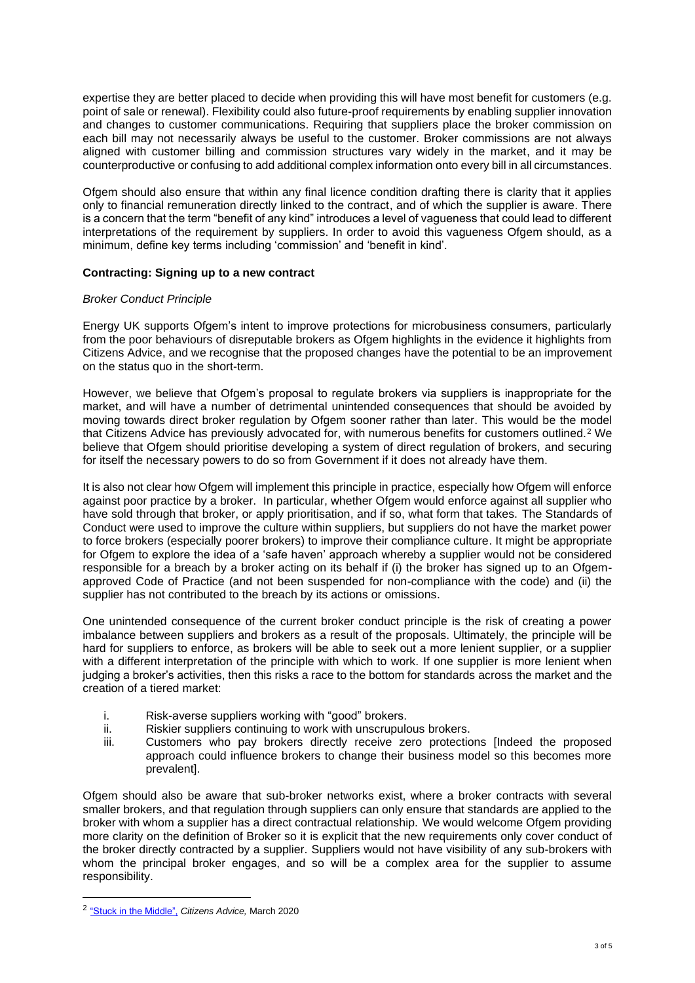expertise they are better placed to decide when providing this will have most benefit for customers (e.g. point of sale or renewal). Flexibility could also future-proof requirements by enabling supplier innovation and changes to customer communications. Requiring that suppliers place the broker commission on each bill may not necessarily always be useful to the customer. Broker commissions are not always aligned with customer billing and commission structures vary widely in the market, and it may be counterproductive or confusing to add additional complex information onto every bill in all circumstances.

Ofgem should also ensure that within any final licence condition drafting there is clarity that it applies only to financial remuneration directly linked to the contract, and of which the supplier is aware. There is a concern that the term "benefit of any kind" introduces a level of vagueness that could lead to different interpretations of the requirement by suppliers. In order to avoid this vagueness Ofgem should, as a minimum, define key terms including 'commission' and 'benefit in kind'.

#### **Contracting: Signing up to a new contract**

#### *Broker Conduct Principle*

Energy UK supports Ofgem's intent to improve protections for microbusiness consumers, particularly from the poor behaviours of disreputable brokers as Ofgem highlights in the evidence it highlights from Citizens Advice, and we recognise that the proposed changes have the potential to be an improvement on the status quo in the short-term.

However, we believe that Ofgem's proposal to regulate brokers via suppliers is inappropriate for the market, and will have a number of detrimental unintended consequences that should be avoided by moving towards direct broker regulation by Ofgem sooner rather than later. This would be the model that Citizens Advice has previously advocated for, with numerous benefits for customers outlined.<sup>2</sup> We believe that Ofgem should prioritise developing a system of direct regulation of brokers, and securing for itself the necessary powers to do so from Government if it does not already have them.

It is also not clear how Ofgem will implement this principle in practice, especially how Ofgem will enforce against poor practice by a broker. In particular, whether Ofgem would enforce against all supplier who have sold through that broker, or apply prioritisation, and if so, what form that takes. The Standards of Conduct were used to improve the culture within suppliers, but suppliers do not have the market power to force brokers (especially poorer brokers) to improve their compliance culture. It might be appropriate for Ofgem to explore the idea of a 'safe haven' approach whereby a supplier would not be considered responsible for a breach by a broker acting on its behalf if (i) the broker has signed up to an Ofgemapproved Code of Practice (and not been suspended for non-compliance with the code) and (ii) the supplier has not contributed to the breach by its actions or omissions.

One unintended consequence of the current broker conduct principle is the risk of creating a power imbalance between suppliers and brokers as a result of the proposals. Ultimately, the principle will be hard for suppliers to enforce, as brokers will be able to seek out a more lenient supplier, or a supplier with a different interpretation of the principle with which to work. If one supplier is more lenient when judging a broker's activities, then this risks a race to the bottom for standards across the market and the creation of a tiered market:

- i. Risk-averse suppliers working with "good" brokers.
- ii. Riskier suppliers continuing to work with unscrupulous brokers.
- iii. Customers who pay brokers directly receive zero protections [Indeed the proposed approach could influence brokers to change their business model so this becomes more prevalent].

Ofgem should also be aware that sub-broker networks exist, where a broker contracts with several smaller brokers, and that regulation through suppliers can only ensure that standards are applied to the broker with whom a supplier has a direct contractual relationship. We would welcome Ofgem providing more clarity on the definition of Broker so it is explicit that the new requirements only cover conduct of the broker directly contracted by a supplier. Suppliers would not have visibility of any sub-brokers with whom the principal broker engages, and so will be a complex area for the supplier to assume responsibility.

<sup>2</sup> ["Stuck in the Middle",](https://www.citizensadvice.org.uk/about-us/policy/policy-research-topics/energy-policy-research-and-consultation-responses/energy-policy-research/stuck-in-the-middle/) *Citizens Advice,* March 2020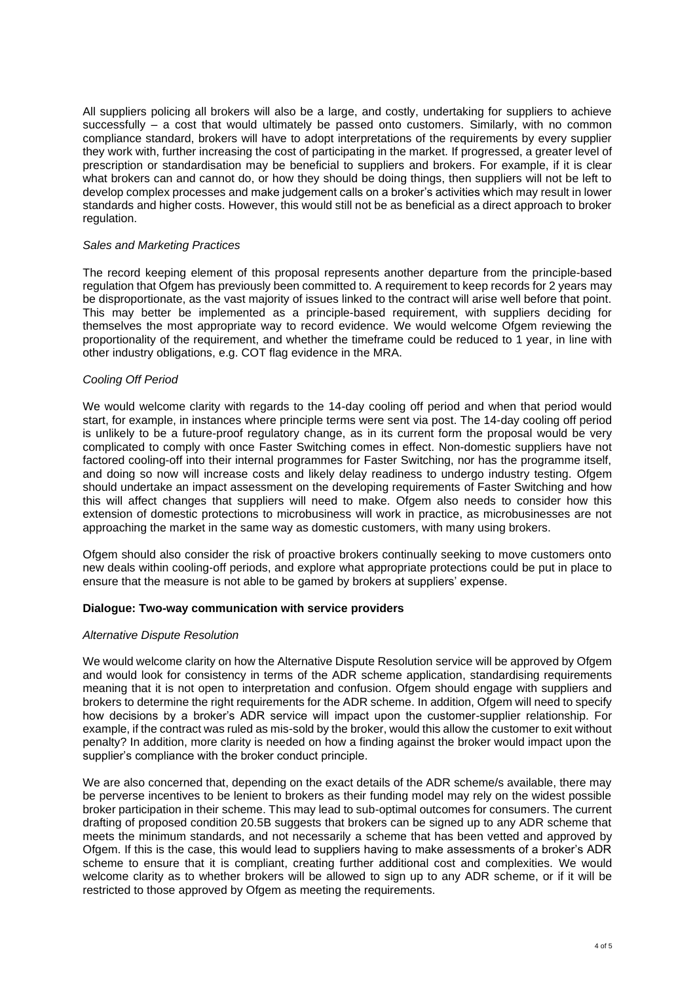All suppliers policing all brokers will also be a large, and costly, undertaking for suppliers to achieve successfully – a cost that would ultimately be passed onto customers. Similarly, with no common compliance standard, brokers will have to adopt interpretations of the requirements by every supplier they work with, further increasing the cost of participating in the market. If progressed, a greater level of prescription or standardisation may be beneficial to suppliers and brokers. For example, if it is clear what brokers can and cannot do, or how they should be doing things, then suppliers will not be left to develop complex processes and make judgement calls on a broker's activities which may result in lower standards and higher costs. However, this would still not be as beneficial as a direct approach to broker regulation.

### *Sales and Marketing Practices*

The record keeping element of this proposal represents another departure from the principle-based regulation that Ofgem has previously been committed to. A requirement to keep records for 2 years may be disproportionate, as the vast majority of issues linked to the contract will arise well before that point. This may better be implemented as a principle-based requirement, with suppliers deciding for themselves the most appropriate way to record evidence. We would welcome Ofgem reviewing the proportionality of the requirement, and whether the timeframe could be reduced to 1 year, in line with other industry obligations, e.g. COT flag evidence in the MRA.

# *Cooling Off Period*

We would welcome clarity with regards to the 14-day cooling off period and when that period would start, for example, in instances where principle terms were sent via post. The 14-day cooling off period is unlikely to be a future-proof regulatory change, as in its current form the proposal would be very complicated to comply with once Faster Switching comes in effect. Non-domestic suppliers have not factored cooling-off into their internal programmes for Faster Switching, nor has the programme itself, and doing so now will increase costs and likely delay readiness to undergo industry testing. Ofgem should undertake an impact assessment on the developing requirements of Faster Switching and how this will affect changes that suppliers will need to make. Ofgem also needs to consider how this extension of domestic protections to microbusiness will work in practice, as microbusinesses are not approaching the market in the same way as domestic customers, with many using brokers.

Ofgem should also consider the risk of proactive brokers continually seeking to move customers onto new deals within cooling-off periods, and explore what appropriate protections could be put in place to ensure that the measure is not able to be gamed by brokers at suppliers' expense.

#### **Dialogue: Two-way communication with service providers**

#### *Alternative Dispute Resolution*

We would welcome clarity on how the Alternative Dispute Resolution service will be approved by Ofgem and would look for consistency in terms of the ADR scheme application, standardising requirements meaning that it is not open to interpretation and confusion. Ofgem should engage with suppliers and brokers to determine the right requirements for the ADR scheme. In addition, Ofgem will need to specify how decisions by a broker's ADR service will impact upon the customer-supplier relationship. For example, if the contract was ruled as mis-sold by the broker, would this allow the customer to exit without penalty? In addition, more clarity is needed on how a finding against the broker would impact upon the supplier's compliance with the broker conduct principle.

We are also concerned that, depending on the exact details of the ADR scheme/s available, there may be perverse incentives to be lenient to brokers as their funding model may rely on the widest possible broker participation in their scheme. This may lead to sub-optimal outcomes for consumers. The current drafting of proposed condition 20.5B suggests that brokers can be signed up to any ADR scheme that meets the minimum standards, and not necessarily a scheme that has been vetted and approved by Ofgem. If this is the case, this would lead to suppliers having to make assessments of a broker's ADR scheme to ensure that it is compliant, creating further additional cost and complexities. We would welcome clarity as to whether brokers will be allowed to sign up to any ADR scheme, or if it will be restricted to those approved by Ofgem as meeting the requirements.